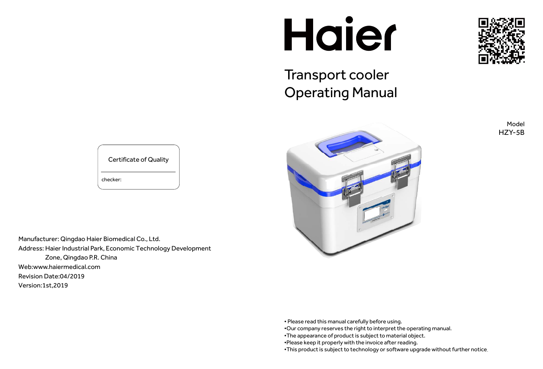Manufacturer: Qingdao Haier Biomedical Co., Ltd. Address: Haier Industrial Park, Economic Technology Development Zone, Qingdao P.R. China Web:www.haiermedical.com Revision Date:04/2019 Version:1st,2019

Certificate of Quality checker:

# Haier

# Transport cooler Operating Manual



Model HZY-5B



• Please read this manual carefully before using.

•Our company reserves the right to interpret the operating manual. •The appearance of product is subject to material object. •Please keep it properly with the invoice after reading. •This product is subject to technology or software upgrade without further notice.

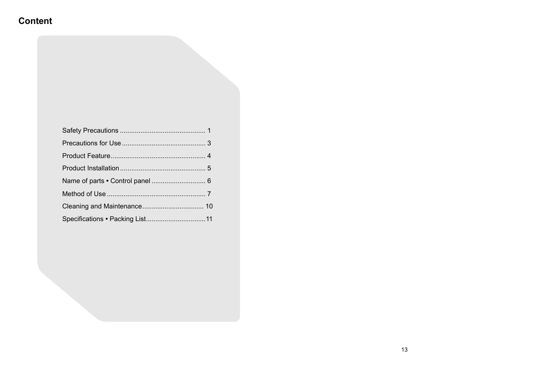# **Content**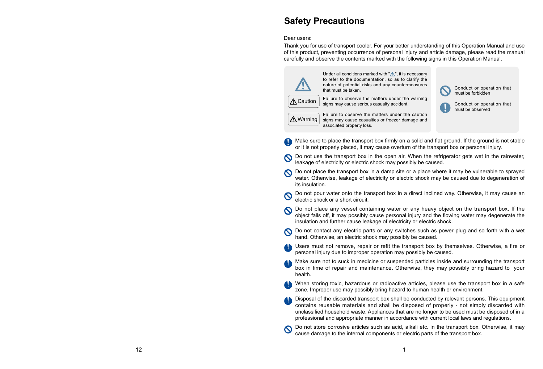# **Safety Precautions**

### Dear users:

Thank you for use of transport cooler. For your better understanding of this Operation Manual and use of this product, preventing occurrence of personal injury and article damage, please read the manual carefully and observe the contents marked with the following signs in this Operation Manual.



Do not use the transport box in the open air. When the refrigerator gets wet in the rainwater,

- Make sure to place the transport box firmly on a solid and flat ground. If the ground is not stable or it is not properly placed, it may cause overturn of the transport box or personal injury.
- $\boldsymbol{\Omega}$ leakage of electricity or electric shock may possibly be caused.
- Do not place the transport box in a damp site or a place where it may be vulnerable to sprayed water. Otherwise, leakage of electricity or electric shock may be caused due to degeneration of its insulation.
- Do not pour water onto the transport box in a direct inclined way. Otherwise, it may cause an  $\boldsymbol{\mathcal{O}}$ electric shock or a short circuit.
- Do not place any vessel containing water or any heavy object on the transport box. If the object falls off, it may possibly cause personal injury and the flowing water may degenerate the insulation and further cause leakage of electricity or electric shock.
- Do not contact any electric parts or any switches such as power plug and so forth with a wet hand. Otherwise, an electric shock may possibly be caused.
- Users must not remove, repair or refit the transport box by themselves. Otherwise, a fire or personal injury due to improper operation may possibly be caused.
- Make sure not to suck in medicine or suspended particles inside and surrounding the transport box in time of repair and maintenance. Otherwise, they may possibly bring hazard to your health.
- When storing toxic, hazardous or radioactive articles, please use the transport box in a safe zone. Improper use may possibly bring hazard to human health or environment.
- contains reusable materials and shall be disposed of properly not simply discarded with unclassified household waste. Appliances that are no longer to be used must be disposed of in a professional and appropriate manner in accordance with current local laws and regulations.
- Do not store corrosive articles such as acid, alkali etc. in the transport box. Otherwise, it may  $\mathbf{\Omega}$ cause damage to the internal components or electric parts of the transport box.

Under all conditions marked with  $\mathbb{Z}$ , it is necessary to refer to the documentation, so as to clarify the nature of potential risks and any countermeasures

Disposal of the discarded transport box shall be conducted by relevant persons. This equipment



Failure to observe the matters under the warning signs may cause serious casualty accident.

A Warning

Failure to observe the matters under the caution signs may cause casualties or freezer damage and associated property loss.

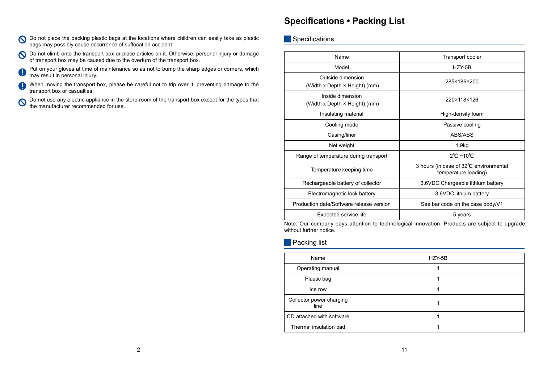### O Do not place the packing plastic bags at the locations where children can easily take as plastic bags may possibly cause occurrence of suffocation accident.

O Do not climb onto the transport box or place articles on it. Otherwise, personal injury or damage of transport box may be caused due to the overturn of the transport box.

Put on your gloves at time of maintenance so as not to bump the sharp edges or corners, which  $\left( \, \right)$ may result in personal injury.

When moving the transport box, please be careful not to trip over it, preventing damage to the Q transport box or casualties.

Do not use any electric appliance in the store-room of the transport box except for the types that  $\boldsymbol{O}$ the manufacturer recommended for use.

# **Specifications • Packing List**

Specifications

| HZY-5B |  |
|--------|--|
|        |  |
|        |  |
|        |  |
|        |  |
|        |  |
|        |  |

| Name                                                                                         | Transport cooler                                               |  |
|----------------------------------------------------------------------------------------------|----------------------------------------------------------------|--|
| Model                                                                                        | HZY-5B                                                         |  |
| Outside dimension<br>(Width x Depth × Height) (mm)                                           | 285×186×200                                                    |  |
| Inside dimension<br>(Width x Depth × Height) (mm)                                            | 220×118×126                                                    |  |
| Insulating material                                                                          | High-density foam                                              |  |
| Cooling mode                                                                                 | Passive cooling                                                |  |
| Casing/liner                                                                                 | <b>ABS/ABS</b>                                                 |  |
| Net weight                                                                                   | 1.9kg                                                          |  |
| Range of temperature during transport                                                        | $2^{\circ}$ C ~10 $^{\circ}$ C                                 |  |
| Temperature keeping time                                                                     | 3 hours (in case of 32°C environmental<br>temperature loading) |  |
| Rechargeable battery of collector                                                            | 3.6VDC Chargeable lithium battery                              |  |
| Electromagnetic lock battery                                                                 | 3.6VDC lithium battery                                         |  |
| Production date/Software release version                                                     | See bar code on the case body/V1                               |  |
| Expected service life                                                                        | 5 years                                                        |  |
| Letou Que compony pour ottopica te technological inpouction. Dreducto are qubicat to unavail |                                                                |  |

Note: Our company pays attention to technological innovation. Products are subject to upgrade without further notice.

**Packing list** 

| HZY-5B |
|--------|
|        |
|        |
|        |
|        |
|        |
|        |
|        |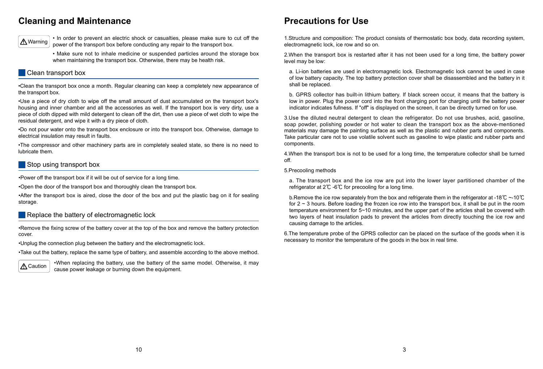# **Cleaning and Maintenance**

• In order to prevent an electric shock or casualties, please make sure to cut off the power of the transport box before conducting any repair to the transport box.

• Make sure not to inhale medicine or suspended particles around the storage box when maintaining the transport box. Otherwise, there may be health risk.

### Clean transport box

•Clean the transport box once a month. Regular cleaning can keep a completely new appearance of the transport box.

•Use a piece of dry cloth to wipe off the small amount of dust accumulated on the transport box's housing and inner chamber and all the accessories as well. If the transport box is very dirty, use a piece of cloth dipped with mild detergent to clean off the dirt, then use a piece of wet cloth to wipe the residual detergent, and wipe it with a dry piece of cloth.

•Remove the fixing screw of the battery cover at the top of the box and remove the battery protection cover.

•Do not pour water onto the transport box enclosure or into the transport box. Otherwise, damage to electrical insulation may result in faults.

•The compressor and other machinery parts are in completely sealed state, so there is no need to lubricate them.

### Stop using transport box

•Power off the transport box if it will be out of service for a long time.

•Open the door of the transport box and thoroughly clean the transport box.

•After the transport box is aired, close the door of the box and put the plastic bag on it for sealing storage.

### Replace the battery of electromagnetic lock

•Unplug the connection plug between the battery and the electromagnetic lock.

•Take out the battery, replace the same type of battery, and assemble according to the above method.

•When replacing the battery, use the battery of the same model. Otherwise, it may cause power leakage or burning down the equipment.





# **Precautions for Use**

1.Structure and composition: The product consists of thermostatic box body, data recording system, electromagnetic lock, ice row and so on.

2.When the transport box is restarted after it has not been used for a long time, the battery power level may be low:

a. Li-ion batteries are used in electromagnetic lock. Electromagnetic lock cannot be used in case of low battery capacity. The top battery protection cover shall be disassembled and the battery in it shall be replaced.

b. GPRS collector has built-in lithium battery. If black screen occur, it means that the battery is low in power. Plug the power cord into the front charging port for charging until the battery power indicator indicates fullness. If "off" is displayed on the screen, it can be directly turned on for use.

3.Use the diluted neutral detergent to clean the refrigerator. Do not use brushes, acid, gasoline, soap powder, polishing powder or hot water to clean the transport box as the above-mentioned materials may damage the painting surface as well as the plastic and rubber parts and components. Take particular care not to use volatile solvent such as gasoline to wipe plastic and rubber parts and components.

4.When the transport box is not to be used for a long time, the temperature collector shall be turned off.

5.Precooling methods

a. The transport box and the ice row are put into the lower layer partitioned chamber of the refrigerator at 2℃ -6℃ for precooling for a long time.

b.Remove the ice row separately from the box and refrigerate them in the refrigerator at -18℃ ~-10℃ for  $2 \sim 3$  hours. Before loading the frozen ice row into the transport box, it shall be put in the room temperature environment for 5~10 minutes, and the upper part of the articles shall be covered with two layers of heat insulation pads to prevent the articles from directly touching the ice row and causing damage to the articles.

6.The temperature probe of the GPRS collector can be placed on the surface of the goods when it is necessary to monitor the temperature of the goods in the box in real time.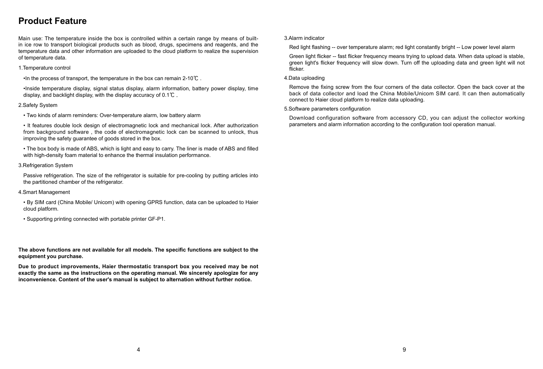Main use: The temperature inside the box is controlled within a certain range by means of builtin ice row to transport biological products such as blood, drugs, specimens and reagents, and the temperature data and other information are uploaded to the cloud platform to realize the supervision of temperature data.

### 1.Temperature control

•In the process of transport, the temperature in the box can remain 2-10℃ .

•Inside temperature display, signal status display, alarm information, battery power display, time display, and backlight display, with the display accuracy of 0.1℃ .

• The box body is made of ABS, which is light and easy to carry. The liner is made of ABS and filled with high-density foam material to enhance the thermal insulation performance.

### 2.Safety System

• Two kinds of alarm reminders: Over-temperature alarm, low battery alarm

The above functions are not available for all models. The specific functions are subject to the **equipment you purchase.**

• It features double lock design of electromagnetic lock and mechanical lock. After authorization from background software , the code of electromagnetic lock can be scanned to unlock, thus improving the safety guarantee of goods stored in the box.

3.Refrigeration System

Passive refrigeration. The size of the refrigerator is suitable for pre-cooling by putting articles into the partitioned chamber of the refrigerator.

Remove the fixing screw from the four corners of the data collector. Open the back cover at the back of data collector and load the China Mobile/Unicom SIM card. It can then automatically connect to Haier cloud platform to realize data uploading.

5. Software parameters configuration

Download configuration software from accessory CD, you can adjust the collector working parameters and alarm information according to the configuration tool operation manual.

4.Smart Management

- By SIM card (China Mobile/ Unicom) with opening GPRS function, data can be uploaded to Haier cloud platform.
- Supporting printing connected with portable printer GF-P1.

**Due to product improvements, Haier thermostatic transport box you received may be not exactly the same as the instructions on the operating manual. We sincerely apologize for any inconvenience. Content of the user's manual is subject to alternation without further notice.**

# **Product Feature**

3.Alarm indicator

Red light flashing -- over temperature alarm; red light constantly bright -- Low power level alarm

Green light flicker -- fast flicker frequency means trying to upload data. When data upload is stable, green light's flicker frequency will slow down. Turn off the uploading data and green light will not flicker.

### 4.Data uploading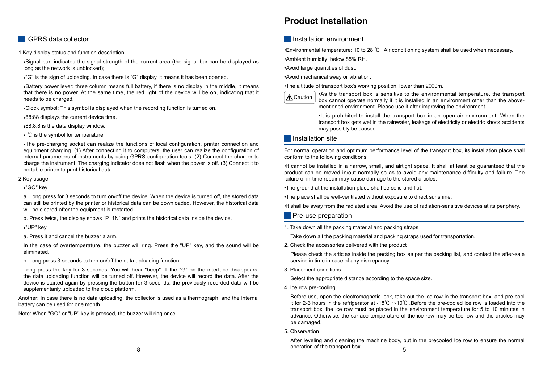1.Key display status and function description

Signal bar: indicates the signal strength of the current area (the signal bar can be displayed as long as the network is unblocked);

"G" is the sign of uploading. In case there is "G" display, it means it has been opened.

Battery power lever: three column means full battery, if there is no display in the middle, it means that there is no power. At the same time, the red light of the device will be on, indicating that it needs to be charged.

a. Long press for 3 seconds to turn on/off the device. When the device is turned off, the stored data can still be printed by the printer or historical data can be downloaded. However, the historical data will be cleared after the equipment is restarted.

b. Press twice, the display shows "P\_1N" and prints the historical data inside the device.

- Clock symbol: This symbol is displayed when the recording function is turned on.
- 88:88 displays the current device time.
- 88.8.8 is the data display window.
- ℃ is the symbol for temperature;

The pre-charging socket can realize the functions of local configuration, printer connection and equipment charging. (1) After connecting it to computers, the user can realize the configuration of internal parameters of instruments by using GPRS configuration tools. (2) Connect the charger to charge the instrument. The charging indicator does not flash when the power is off. (3) Connect it to portable printer to print historical data.

2.Key usage

"GO" key

"UP" key

a. Press it and cancel the buzzer alarm.

In the case of overtemperature, the buzzer will ring. Press the "UP" key, and the sound will be eliminated.

b. Long press 3 seconds to turn on/off the data uploading function.

Long press the key for 3 seconds. You will hear "beep". If the "G" on the interface disappears, the data uploading function will be turned off. However, the device will record the data. After the device is started again by pressing the button for 3 seconds, the previously recorded data will be supplementarily uploaded to the cloud platform.

Another: In case there is no data uploading, the collector is used as a thermograph, and the internal battery can be used for one month.

Note: When "GO" or "UP" key is pressed, the buzzer will ring once.

### GPRS data collector

## **Product Installation**

### **Installation environment**

•Environmental temperature: 10 to 28 ℃ . Air conditioning system shall be used when necessary.

•Ambient humidity: below 85% RH.

•Avoid large quantities of dust.

•Avoid mechanical sway or vibration.

•The altitude of transport box's working position: lower than 2000m.

•As the transport box is sensitive to the environmental temperature, the transport box cannot operate normally if it is installed in an environment other than the abovementioned environment. Please use it after improving the environment.

•It is prohibited to install the transport box in an open-air environment. When the transport box gets wet in the rainwater, leakage of electricity or electric shock accidents may possibly be caused.

### **Installation site**

For normal operation and optimum performance level of the transport box, its installation place shall conform to the following conditions:

•It cannot be installed in a narrow, small, and airtight space. It shall at least be guaranteed that the product can be moved in/out normally so as to avoid any maintenance difficulty and failure. The failure of in-time repair may cause damage to the stored articles.

•The ground at the installation place shall be solid and flat.

•The place shall be well-ventilated without exposure to direct sunshine.

•It shall be away from the radiated area. Avoid the use of radiation-sensitive devices at its periphery.

### **Pre-use preparation**

- 1. Take down all the packing material and packing straps Take down all the packing material and packing straps used for transportation.
- 2. Check the accessories delivered with the product

Please check the articles inside the packing box as per the packing list, and contact the after-sale service in time in case of any discrepancy.

3. Placement conditions

Select the appropriate distance according to the space size.

4. Ice row pre-cooling

Before use, open the electromagnetic lock, take out the ice row in the transport box, and pre-cool it for 2-3 hours in the refrigerator at -18℃ ~-10℃ .Before the pre-cooled ice row is loaded into the transport box, the ice row must be placed in the environment temperature for 5 to 10 minutes in advance. Otherwise, the surface temperature of the ice row may be too low and the articles may be damaged.

5. Observation

After leveling and cleaning the machine body, put in the precooled Ice row to ensure the normal operation of the transport box.